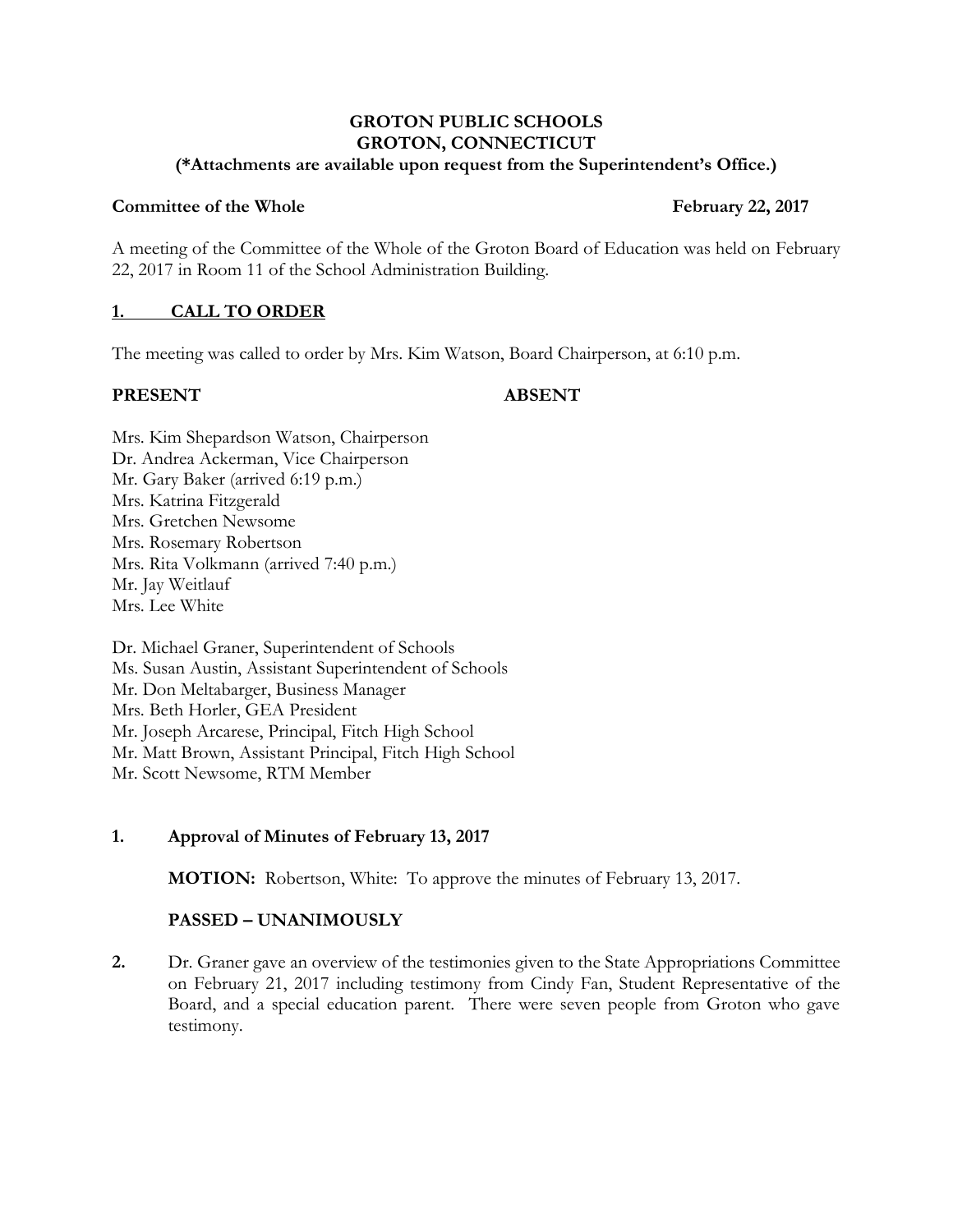#### **GROTON PUBLIC SCHOOLS GROTON, CONNECTICUT (\*Attachments are available upon request from the Superintendent's Office.)**

#### **Committee of the Whole February** 22, 2017

A meeting of the Committee of the Whole of the Groton Board of Education was held on February 22, 2017 in Room 11 of the School Administration Building.

## **1. CALL TO ORDER**

The meeting was called to order by Mrs. Kim Watson, Board Chairperson, at 6:10 p.m.

#### **PRESENT ABSENT**

Mrs. Kim Shepardson Watson, Chairperson Dr. Andrea Ackerman, Vice Chairperson Mr. Gary Baker (arrived 6:19 p.m.) Mrs. Katrina Fitzgerald Mrs. Gretchen Newsome Mrs. Rosemary Robertson Mrs. Rita Volkmann (arrived 7:40 p.m.) Mr. Jay Weitlauf Mrs. Lee White

Dr. Michael Graner, Superintendent of Schools Ms. Susan Austin, Assistant Superintendent of Schools Mr. Don Meltabarger, Business Manager Mrs. Beth Horler, GEA President Mr. Joseph Arcarese, Principal, Fitch High School Mr. Matt Brown, Assistant Principal, Fitch High School Mr. Scott Newsome, RTM Member

## **1. Approval of Minutes of February 13, 2017**

**MOTION:** Robertson, White: To approve the minutes of February 13, 2017.

# **PASSED – UNANIMOUSLY**

**2.** Dr. Graner gave an overview of the testimonies given to the State Appropriations Committee on February 21, 2017 including testimony from Cindy Fan, Student Representative of the Board, and a special education parent. There were seven people from Groton who gave testimony.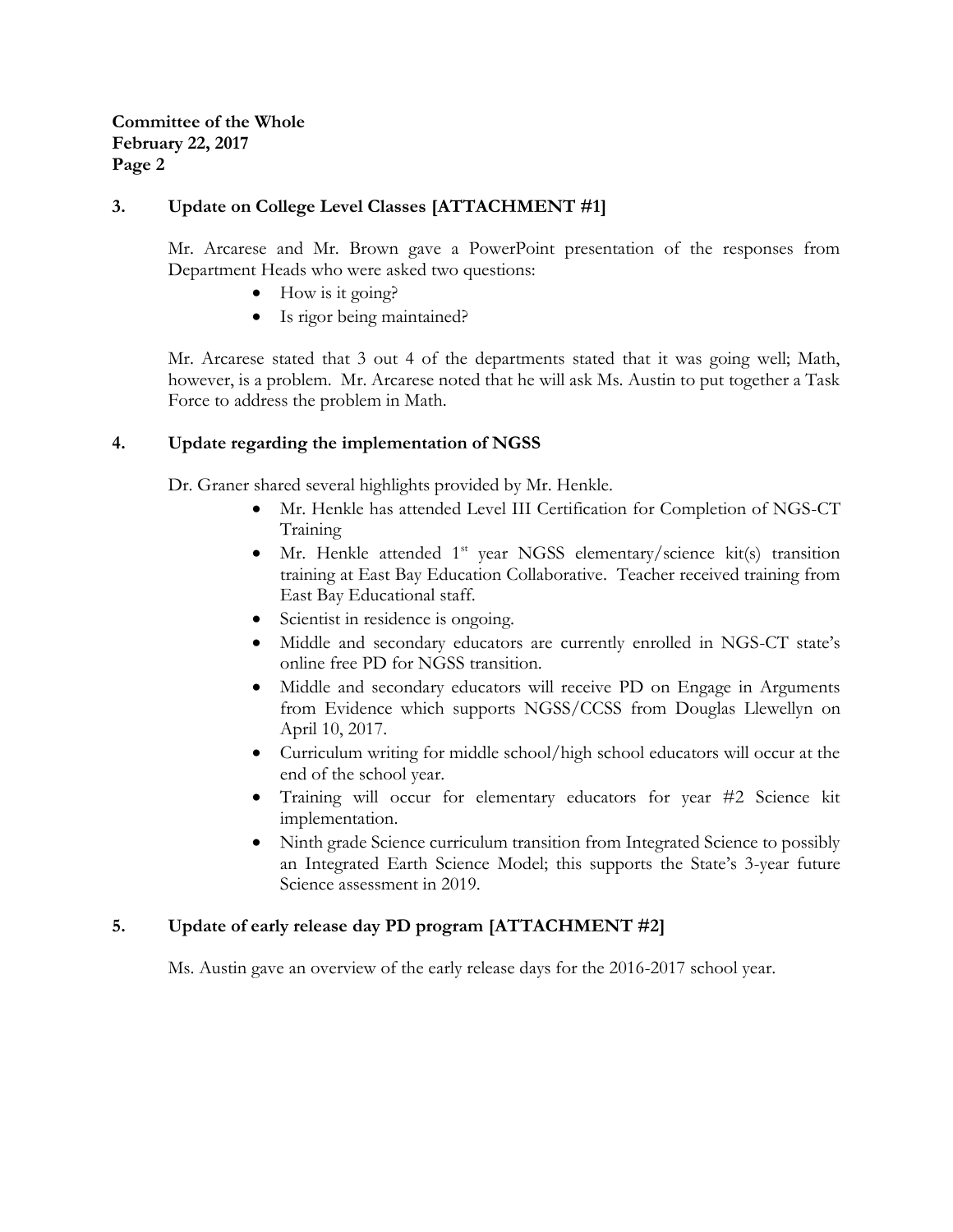## **3. Update on College Level Classes [ATTACHMENT #1]**

Mr. Arcarese and Mr. Brown gave a PowerPoint presentation of the responses from Department Heads who were asked two questions:

- $\bullet$  How is it going?
- Is rigor being maintained?

Mr. Arcarese stated that 3 out 4 of the departments stated that it was going well; Math, however, is a problem. Mr. Arcarese noted that he will ask Ms. Austin to put together a Task Force to address the problem in Math.

## **4. Update regarding the implementation of NGSS**

Dr. Graner shared several highlights provided by Mr. Henkle.

- Mr. Henkle has attended Level III Certification for Completion of NGS-CT Training
- Mr. Henkle attended 1<sup>st</sup> year NGSS elementary/science kit(s) transition training at East Bay Education Collaborative. Teacher received training from East Bay Educational staff.
- Scientist in residence is ongoing.
- Middle and secondary educators are currently enrolled in NGS-CT state's online free PD for NGSS transition.
- Middle and secondary educators will receive PD on Engage in Arguments from Evidence which supports NGSS/CCSS from Douglas Llewellyn on April 10, 2017.
- Curriculum writing for middle school/high school educators will occur at the end of the school year.
- Training will occur for elementary educators for year #2 Science kit implementation.
- Ninth grade Science curriculum transition from Integrated Science to possibly an Integrated Earth Science Model; this supports the State's 3-year future Science assessment in 2019.

## **5. Update of early release day PD program [ATTACHMENT #2]**

Ms. Austin gave an overview of the early release days for the 2016-2017 school year.